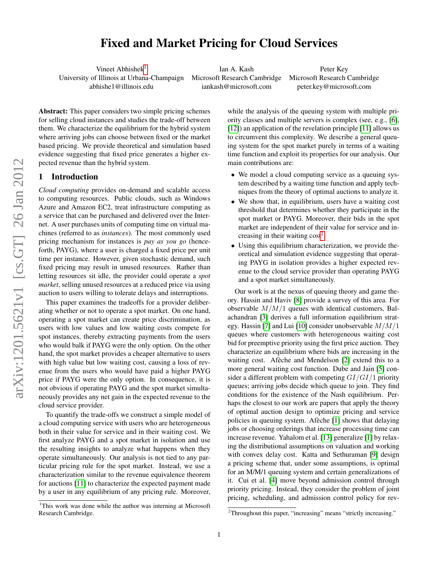# Fixed and Market Pricing for Cloud Services

Vineet Abhishek<sup>[1](#page-0-0)</sup>

University of Illinois at Urbana-Champaign Microsoft Research Cambridge Microsoft Research Cambridge

Ian A. Kash Peter Key abhishe1@illinois.edu iankash@microsoft.com peter.key@microsoft.com

Abstract: This paper considers two simple pricing schemes for selling cloud instances and studies the trade-off between them. We characterize the equilibrium for the hybrid system where arriving jobs can choose between fixed or the market based pricing. We provide theoretical and simulation based evidence suggesting that fixed price generates a higher expected revenue than the hybrid system.

## 1 Introduction

*Cloud computing* provides on-demand and scalable access to computing resources. Public clouds, such as Windows Azure and Amazon EC2, treat infrastructure computing as a service that can be purchased and delivered over the Internet. A user purchases units of computing time on virtual machines (referred to as *instances*). The most commonly used pricing mechanism for instances is *pay as you go* (henceforth, PAYG), where a user is charged a fixed price per unit time per instance. However, given stochastic demand, such fixed pricing may result in unused resources. Rather than letting resources sit idle, the provider could operate a *spot market*, selling unused resources at a reduced price via using auction to users willing to tolerate delays and interruptions.

This paper examines the tradeoffs for a provider deliberating whether or not to operate a spot market. On one hand, operating a spot market can create price discrimination, as users with low values and low waiting costs compete for spot instances, thereby extracting payments from the users who would balk if PAYG were the only option. On the other hand, the spot market provides a cheaper alternative to users with high value but low waiting cost, causing a loss of revenue from the users who would have paid a higher PAYG price if PAYG were the only option. In consequence, it is not obvious if operating PAYG and the spot market simultaneously provides any net gain in the expected revenue to the cloud service provider.

To quantify the trade-offs we construct a simple model of a cloud computing service with users who are heterogeneous both in their value for service and in their waiting cost. We first analyze PAYG and a spot market in isolation and use the resulting insights to analyze what happens when they operate simultaneously. Our analysis is not tied to any particular pricing rule for the spot market. Instead, we use a characterization similar to the revenue equivalence theorem for auctions [\[11\]](#page-8-0) to characterize the expected payment made by a user in any equilibrium of any pricing rule. Moreover,

while the analysis of the queuing system with multiple priority classes and multiple servers is complex (see, e.g., [\[6\]](#page-8-1), [\[12\]](#page-8-2)) an application of the revelation principle [\[11\]](#page-8-0) allows us to circumvent this complexity. We describe a general queuing system for the spot market purely in terms of a waiting time function and exploit its properties for our analysis. Our main contributions are:

- We model a cloud computing service as a queuing system described by a waiting time function and apply techniques from the theory of optimal auctions to analyze it.
- We show that, in equilibrium, users have a waiting cost threshold that determines whether they participate in the spot market or PAYG. Moreover, their bids in the spot market are independent of their value for service and increasing in their waiting  $cost<sup>2</sup>$  $cost<sup>2</sup>$  $cost<sup>2</sup>$ .
- Using this equilibrium characterization, we provide theoretical and simulation evidence suggesting that operating PAYG in isolation provides a higher expected revenue to the cloud service provider than operating PAYG and a spot market simultaneously.

Our work is at the nexus of queuing theory and game theory. Hassin and Haviv [\[8\]](#page-8-3) provide a survey of this area. For observable  $M/M/1$  queues with identical customers, Balachandran [\[3\]](#page-8-4) derives a full information equilibrium strat-egy. Hassin [\[7\]](#page-8-5) and Lui [\[10\]](#page-8-6) consider unobservable  $M/M/1$ queues where customers with heterogeneous waiting cost bid for preemptive priority using the first price auction. They characterize an equilibrium where bids are increasing in the waiting cost. Afèche and Mendelson [\[2\]](#page-8-7) extend this to a more general waiting cost function. Dube and Jain [\[5\]](#page-8-8) consider a different problem with competing  $GI/GI/1$  priority queues; arriving jobs decide which queue to join. They find conditions for the existence of the Nash equilibrium. Perhaps the closest to our work are papers that apply the theory of optimal auction design to optimize pricing and service policies in queuing system. Afeche [\[1\]](#page-8-9) shows that delaying ` jobs or choosing orderings that increase processing time can increase revenue. Yahalom et al. [\[13\]](#page-8-10) generalize [\[1\]](#page-8-9) by relaxing the distributional assumptions on valuation and working with convex delay cost. Katta and Sethuraman [\[9\]](#page-8-11) design a pricing scheme that, under some assumptions, is optimal for an M/M/1 queuing system and certain generalizations of it. Cui et al. [\[4\]](#page-8-12) move beyond admission control through priority pricing. Instead, they consider the problem of joint pricing, scheduling, and admission control policy for rev-

<span id="page-0-0"></span><sup>&</sup>lt;sup>1</sup>This work was done while the author was interning at Microsoft Research Cambridge.

<span id="page-0-1"></span><sup>&</sup>lt;sup>2</sup>Throughout this paper, "increasing" means "strictly increasing."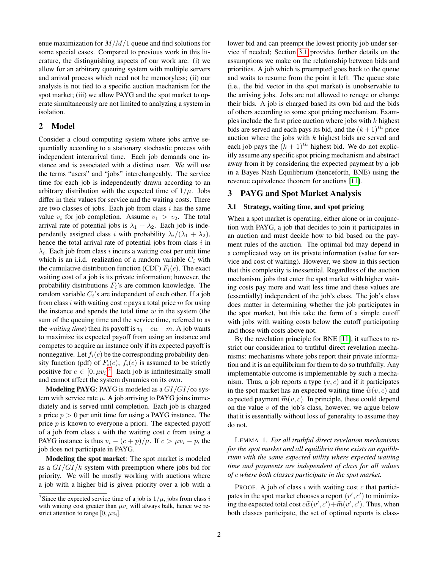enue maximization for  $M/M/1$  queue and find solutions for some special cases. Compared to previous work in this literature, the distinguishing aspects of our work are: (i) we allow for an arbitrary queuing system with multiple servers and arrival process which need not be memoryless; (ii) our analysis is not tied to a specific auction mechanism for the spot market; (iii) we allow PAYG and the spot market to operate simultaneously are not limited to analyzing a system in isolation.

## 2 Model

Consider a cloud computing system where jobs arrive sequentially according to a stationary stochastic process with independent interarrival time. Each job demands one instance and is associated with a distinct user. We will use the terms "users" and "jobs" interchangeably. The service time for each job is independently drawn according to an arbitrary distribution with the expected time of  $1/\mu$ . Jobs differ in their values for service and the waiting costs. There are two classes of jobs. Each job from class  $i$  has the same value  $v_i$  for job completion. Assume  $v_1 > v_2$ . The total arrival rate of potential jobs is  $\lambda_1 + \lambda_2$ . Each job is independently assigned class i with probability  $\lambda_i/(\lambda_1 + \lambda_2)$ , hence the total arrival rate of potential jobs from class  $i$  in  $\lambda_i$ . Each job from class *i* incurs a waiting cost per unit time which is an i.i.d. realization of a random variable  $C_i$  with the cumulative distribution function (CDF)  $F_i(c)$ . The exact waiting cost of a job is its private information; however, the probability distributions  $F_i$ 's are common knowledge. The random variable  $C_i$ 's are independent of each other. If a job from class i with waiting cost c pays a total price  $m$  for using the instance and spends the total time  $w$  in the system (the sum of the queuing time and the service time, referred to as the *waiting time*) then its payoff is  $v_i - cw - m$ . A job wants to maximize its expected payoff from using an instance and competes to acquire an instance only if its expected payoff is nonnegative. Let  $f_i(c)$  be the corresponding probability density function (pdf) of  $F_i(c)$ ;  $f_i(c)$  is assumed to be strictly positive for  $c \in [0, \mu v_i]^3$  $c \in [0, \mu v_i]^3$ . Each job is infinitesimally small and cannot affect the system dynamics on its own.

Modeling PAYG: PAYG is modeled as a  $GI/GI/\infty$  system with service rate  $\mu$ . A job arriving to PAYG joins immediately and is served until completion. Each job is charged a price  $p > 0$  per unit time for using a PAYG instance. The price  $p$  is known to everyone a priori. The expected payoff of a job from class i with the waiting cost  $c$  from using a PAYG instance is thus  $v_i - (c + p)/\mu$ . If  $c > \mu v_i - p$ , the job does not participate in PAYG.

Modeling the spot market: The spot market is modeled as a  $GI/GI/k$  system with preemption where jobs bid for priority. We will be mostly working with auctions where a job with a higher bid is given priority over a job with a lower bid and can preempt the lowest priority job under service if needed; Section [3.1](#page-1-1) provides further details on the assumptions we make on the relationship between bids and priorities. A job which is preempted goes back to the queue and waits to resume from the point it left. The queue state (i.e., the bid vector in the spot market) is unobservable to the arriving jobs. Jobs are not allowed to renege or change their bids. A job is charged based its own bid and the bids of others according to some spot pricing mechanism. Examples include the first price auction where jobs with  $k$  highest bids are served and each pays its bid, and the  $(k+1)$ <sup>th</sup> price auction where the jobs with  $k$  highest bids are served and each job pays the  $(k + 1)^{th}$  highest bid. We do not explicitly assume any specific spot pricing mechanism and abstract away from it by considering the expected payment by a job in a Bayes Nash Equilibrium (henceforth, BNE) using the revenue equivalence theorem for auctions [\[11\]](#page-8-0).

## <span id="page-1-2"></span>3 PAYG and Spot Market Analysis

#### <span id="page-1-1"></span>3.1 Strategy, waiting time, and spot pricing

When a spot market is operating, either alone or in conjunction with PAYG, a job that decides to join it participates in an auction and must decide how to bid based on the payment rules of the auction. The optimal bid may depend in a complicated way on its private information (value for service and cost of waiting). However, we show in this section that this complexity is inessential. Regardless of the auction mechanism, jobs that enter the spot market with higher waiting costs pay more and wait less time and these values are (essentially) independent of the job's class. The job's class does matter in determining whether the job participates in the spot market, but this take the form of a simple cutoff with jobs with waiting costs below the cutoff participating and those with costs above not.

By the revelation principle for BNE [\[11\]](#page-8-0), it suffices to restrict our consideration to truthful direct revelation mechanisms: mechanisms where jobs report their private information and it is an equilibrium for them to do so truthfully. Any implementable outcome is implementable by such a mechanism. Thus, a job reports a type  $(v, c)$  and if it participates in the spot market has an expected waiting time  $\tilde{w}(v, c)$  and expected payment  $\widetilde{m}(v, c)$ . In principle, these could depend on the value  $v$  of the job's class, however, we argue below that it is essentially without loss of generality to assume they do not.

LEMMA 1. *For all truthful direct revelation mechanisms for the spot market and all equilibria there exists an equilibrium with the same expected utility where expected waiting time and payments are independent of class for all values of* c *where both classes participate in the spot market.*

PROOF. A job of class  $i$  with waiting cost  $c$  that participates in the spot market chooses a report  $(v', c')$  to minimizing the expected total cost  $c\widetilde{w}(v', c') + \widetilde{m}(v', c')$ . Thus, when<br>both classes perticipate, the set of optimal reports is class. both classes participate, the set of optimal reports is class-

<span id="page-1-0"></span><sup>&</sup>lt;sup>3</sup>Since the expected service time of a job is  $1/\mu$ , jobs from class i with waiting cost greater than  $\mu v_i$  will always balk, hence we restrict attention to range  $[0, \mu v_i]$ .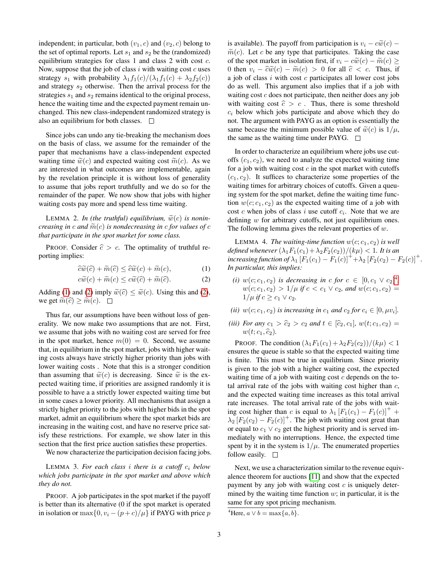independent; in particular, both  $(v_1, c)$  and  $(v_2, c)$  belong to the set of optimal reports. Let  $s_1$  and  $s_2$  be the (randomized) equilibrium strategies for class 1 and class 2 with cost  $c$ . Now, suppose that the job of class  $i$  with waiting cost  $c$  uses strategy  $s_1$  with probability  $\lambda_1 f_1(c)/(\lambda_1 f_1(c) + \lambda_2 f_2(c))$ and strategy  $s_2$  otherwise. Then the arrival process for the strategies  $s_1$  and  $s_2$  remains identical to the original process, hence the waiting time and the expected payment remain unchanged. This new class-independent randomized strategy is also an equilibrium for both classes.  $\Box$ 

Since jobs can undo any tie-breaking the mechanism does on the basis of class, we assume for the remainder of the paper that mechanisms have a class-independent expected waiting time  $\tilde{w}(c)$  and expected waiting cost  $\tilde{m}(c)$ . As we are interested in what outcomes are implementable, again by the revelation principle it is without loss of generality to assume that jobs report truthfully and we do so for the remainder of the paper. We now show that jobs with higher waiting costs pay more and spend less time waiting.

<span id="page-2-4"></span>LEMMA 2. In (the truthful) equilibrium,  $\widetilde{w}(c)$  is nonin*creasing in c and*  $\widetilde{m}(c)$  *is nondecreasing in c for values of c that participate in the spot market for some class.*

PROOF. Consider  $\hat{c} > c$ . The optimality of truthful reporting implies:

$$
\widetilde{c}\widetilde{w}(\widehat{c}) + \widetilde{m}(\widehat{c}) \leq \widetilde{c}\widetilde{w}(c) + \widetilde{m}(c),\tag{1}
$$

$$
c\widetilde{w}(c) + \widetilde{m}(c) \le c\widetilde{w}(\widehat{c}) + \widetilde{m}(\widehat{c}).\tag{2}
$$

Adding [\(1\)](#page-2-0) and [\(2\)](#page-2-1) imply  $\widetilde{w}(\widehat{c}) \leq \widetilde{w}(c)$ . Using this and (2), we get  $\widetilde{m}(\widehat{c}) \geq \widetilde{m}(c)$ .  $\Box$ 

Thus far, our assumptions have been without loss of generality. We now make two assumptions that are not. First, we assume that jobs with no waiting cost are served for free in the spot market, hence  $m(0) = 0$ . Second, we assume that, in equilibrium in the spot market, jobs with higher waiting costs always have strictly higher priority than jobs with lower waiting costs . Note that this is a stronger condition than assuming that  $\widetilde{w}(c)$  is decreasing. Since  $\widetilde{w}$  is the expected waiting time, if priorities are assigned randomly it is possible to have a a strictly lower expected waiting time but in some cases a lower priority. All mechanisms that assign a strictly higher priority to the jobs with higher bids in the spot market, admit an equilibrium where the spot market bids are increasing in the waiting cost, and have no reserve price satisfy these restrictions. For example, we show later in this section that the first price auction satisfies these properties.

We now characterize the participation decision facing jobs.

LEMMA 3. For each class i there is a cutoff  $c_i$  below *which jobs participate in the spot market and above which they do not.*

PROOF. A job participates in the spot market if the payoff is better than its alternative (0 if the spot market is operated in isolation or  $\max\{0, v_i - (p+c)/\mu\}$  if PAYG with price p is available). The payoff from participation is  $v_i - c\widetilde{w}(c)$  –  $\widetilde{m}(c)$ . Let c be any type that participates. Taking the case of the spot market in isolation first, if  $v_i - c\tilde{w}(c) - \tilde{m}(c) \geq$ 0 then  $v_i - \hat{c}\tilde{w}(c) - \tilde{m}(c) > 0$  for all  $\hat{c} < c$ . Thus, if a job of class  $i$  with cost  $c$  participates all lower cost jobs do as well. This argument also implies that if a job with waiting  $\cos t$  c does not participate, then neither does any job with waiting cost  $\hat{c} > c$ . Thus, there is some threshold  $c_i$  below which jobs participate and above which they do not. The argument with PAYG as an option is essentially the same because the minimum possible value of  $\tilde{w}(c)$  is  $1/\mu$ , the same as the waiting time under PAYG.  $\square$ 

In order to characterize an equilibrium where jobs use cutoffs  $(c_1, c_2)$ , we need to analyze the expected waiting time for a job with waiting cost  $c$  in the spot market with cutoffs  $(c_1, c_2)$ . It suffices to characterize some properties of the waiting times for arbitrary choices of cutoffs. Given a queuing system for the spot market, define the waiting time function  $w(c; c_1, c_2)$  as the expected waiting time of a job with cost c when jobs of class i use cutoff  $c_i$ . Note that we are defining w for arbitrary cutoffs, not just equilibrium ones. The following lemma gives the relevant properties of  $w$ .

<span id="page-2-3"></span><span id="page-2-0"></span>LEMMA 4. *The waiting-time function*  $w(c; c_1, c_2)$  *is well defined whenever*  $(\lambda_1 F_1(c_1) + \lambda_2 F_2(c_2))/(k\mu) < 1$ *. It is an increasing function of*  $\lambda_1 [F_1(c_1) - F_1(c)]^+ + \lambda_2 [F_2(c_2) - F_2(c)]^+$ . *In particular, this implies:*

- <span id="page-2-1"></span>*(i)*  $w(c; c_1, c_2)$  *is decreasing in c for*  $c \in [0, c_1 \vee c_2]^4$  $c \in [0, c_1 \vee c_2]^4$ ,  $w(c; c_1, c_2) > 1/\mu$  *if*  $c < c_1 \vee c_2$ *, and*  $w(c; c_1, c_2) =$  $1/\mu$  *if*  $c > c_1 \vee c_2$ .
- *(ii)*  $w(c; c_1, c_2)$  *is increasing in*  $c_1$  *and*  $c_2$  *for*  $c_i \in [0, \mu v_i]$ *.*
- *(iii) For any*  $c_1 > \hat{c}_2 > c_2$  *and*  $t \in [\hat{c}_2, c_1]$ *,*  $w(t; c_1, c_2)$  =  $w(t; c_1, \widehat{c}_2)$ .

PROOF. The condition  $(\lambda_1 F_1(c_1) + \lambda_2 F_2(c_2))/(k\mu) < 1$ ensures the queue is stable so that the expected waiting time is finite. This must be true in equilibrium. Since priority is given to the job with a higher waiting cost, the expected waiting time of a job with waiting cost  $c$  depends on the total arrival rate of the jobs with waiting cost higher than  $c$ , and the expected waiting time increases as this total arrival rate increases. The total arrival rate of the jobs with waiting cost higher than c is equal to  $\lambda_1 [F_1(c_1) - F_1(c)]^+$  +  $\lambda_2$   $[F_2(c_2) - F_2(c)]^+$ . The job with waiting cost great than or equal to  $c_1 \vee c_2$  get the highest priority and is served immediately with no interruptions. Hence, the expected time spent by it in the system is  $1/\mu$ . The enumerated properties follow easily.  $\square$ 

Next, we use a characterization similar to the revenue equivalence theorem for auctions [\[11\]](#page-8-0) and show that the expected payment by any job with waiting cost  $c$  is uniquely determined by the waiting time function  $w$ ; in particular, it is the same for any spot pricing mechanism.

<span id="page-2-2"></span><sup>&</sup>lt;sup>4</sup>Here,  $a \vee b = \max\{a, b\}.$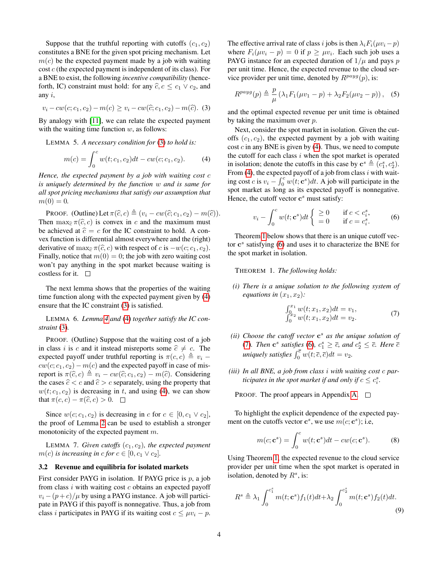Suppose that the truthful reporting with cutoffs  $(c_1, c_2)$ constitutes a BNE for the given spot pricing mechanism. Let  $m(c)$  be the expected payment made by a job with waiting  $\cot c$  (the expected payment is independent of its class). For a BNE to exist, the following *incentive compatibility* (henceforth, IC) constraint must hold: for any  $\hat{c}$ ,  $c \leq c_1 \vee c_2$ , and any  $i$ ,

<span id="page-3-0"></span>
$$
v_i-cw(c; c_1, c_2) - m(c) \ge v_i-cw(\widehat{c}; c_1, c_2) - m(\widehat{c}).
$$
 (3)

By analogy with [\[11\]](#page-8-0), we can relate the expected payment with the waiting time function  $w$ , as follows:

LEMMA 5. *A necessary condition for* [\(3\)](#page-3-0) *to hold is:*

$$
m(c) = \int_0^c w(t; c_1, c_2) dt - cw(c; c_1, c_2).
$$
 (4)

*Hence, the expected payment by a job with waiting cost* c *is uniquely determined by the function* w *and is same for all spot pricing mechanisms that satisfy our assumption that*  $m(0) = 0.$ 

PROOF. (Outline) Let  $\pi(\widehat{c}, c) \triangleq (v_i - cw(\widehat{c}; c_1, c_2) - m(\widehat{c})).$ Then  $\max_{\widehat{c}} \pi(\widehat{c}, c)$  is convex in c and the maximum must be achieved at  $\hat{c} = c$  for the IC constraint to hold. A convex function is differential almost everywhere and the (right) derivative of max $_{\widehat{c}} \pi(\widehat{c}, c)$  with respect of c is  $-w(c; c_1, c_2)$ . Finally, notice that  $m(0) = 0$ ; the job with zero waiting cost won't pay anything in the spot market because waiting is costless for it.  $\square$ 

The next lemma shows that the properties of the waiting time function along with the expected payment given by [\(4\)](#page-3-1) ensure that the IC constraint [\(3\)](#page-3-0) is satisfied.

LEMMA 6. *Lemma [4](#page-2-3) and* [\(4\)](#page-3-1) *together satisfy the IC constraint* [\(3\)](#page-3-0)*.*

PROOF. (Outline) Suppose that the waiting cost of a job in class i is c and it instead misreports some  $\hat{c} \neq c$ . The expected payoff under truthful reporting is  $\pi(c, c) \triangleq v_i$  –  $cw(c; c_1, c_2) - m(c)$  and the expected payoff in case of misreport is  $\pi(\widehat{c}, c) \triangleq v_i - cw(\widehat{c}; c_1, c_2) - m(\widehat{c})$ . Considering the cases  $\hat{c} < c$  and  $\hat{c} > c$  separately, using the property that  $w(t; c_1, c_2)$  is decreasing in t, and using [\(4\)](#page-3-1), we can show that  $\pi(c, c) - \pi(\widehat{c}, c) > 0$ .  $\Box$ 

Since  $w(c; c_1, c_2)$  is decreasing in c for  $c \in [0, c_1 \vee c_2]$ , the proof of Lemma [2](#page-2-4) can be used to establish a stronger monotonicity of the expected payment m.

LEMMA 7. Given cutoffs  $(c_1, c_2)$ , the expected payment  $m(c)$  *is increasing in c for*  $c \in [0, c_1 \vee c_2]$ *.* 

#### 3.2 Revenue and equilibria for isolated markets

First consider PAYG in isolation. If PAYG price is  $p$ , a job from class  $i$  with waiting cost  $c$  obtains an expected payoff  $v_i - (p+c)/\mu$  by using a PAYG instance. A job will participate in PAYG if this payoff is nonnegative. Thus, a job from class *i* participates in PAYG if its waiting cost  $c \le \mu v_i - p$ .

The effective arrival rate of class i jobs is then  $\lambda_i F_i(\mu v_i - p)$ where  $F_i(\mu v_i - p) = 0$  if  $p \geq \mu v_i$ . Each such job uses a PAYG instance for an expected duration of  $1/\mu$  and pays p per unit time. Hence, the expected revenue to the cloud service provider per unit time, denoted by  $R^{payg}(p)$ , is:

<span id="page-3-5"></span>
$$
R^{payg}(p) \triangleq \frac{p}{\mu} \left(\lambda_1 F_1(\mu v_1 - p) + \lambda_2 F_2(\mu v_2 - p)\right), \quad (5)
$$

and the optimal expected revenue per unit time is obtained by taking the maximum over p.

<span id="page-3-1"></span>Next, consider the spot market in isolation. Given the cutoffs  $(c_1, c_2)$ , the expected payment by a job with waiting cost  $c$  in any BNE is given by [\(4\)](#page-3-1). Thus, we need to compute the cutoff for each class  $i$  when the spot market is operated in isolation; denote the cutoffs in this case by  $\mathbf{c}^s \triangleq (c_1^s, c_2^s)$ . From [\(4\)](#page-3-1), the expected payoff of a job from class  $i$  with waiting cost c is  $v_i - \int_0^c w(t; \mathbf{c}^s) dt$ . A job will participate in the spot market as long as its expected payoff is nonnegative. Hence, the cutoff vector  $\mathbf{c}^s$  must satisfy:

<span id="page-3-3"></span>
$$
v_i - \int_0^c w(t; \mathbf{c}^s) dt \begin{cases} \ge 0 & \text{if } c < c_i^s, \\ = 0 & \text{if } c = c_i^s. \end{cases}
$$
 (6)

Theorem [1](#page-3-2) below shows that there is an unique cutoff vector  $c<sup>s</sup>$  satisfying [\(6\)](#page-3-3) and uses it to characterize the BNE for the spot market in isolation.

<span id="page-3-2"></span>THEOREM 1. *The following holds:*

*(i) There is a unique solution to the following system of equations in*  $(x_1, x_2)$ *:* 

<span id="page-3-4"></span>
$$
\int_{0}^{x_{1}} w(t; x_{1}, x_{2})dt = v_{1},
$$
  
\n
$$
\int_{0}^{x_{2}} w(t; x_{1}, x_{2})dt = v_{2}.
$$
\n(7)

- (*ii*) Choose the cutoff vector  $c^s$  as the unique solution of [\(7\)](#page-3-4)*.* Then  $\mathbf{c}^s$  satisfies [\(6\)](#page-3-3),  $c_1^s \geq \overline{c}$ , and  $c_2^s \leq \overline{c}$ . Here  $\overline{c}$ *uniquely satisfies*  $\int_0^{\overline{c}} w(t; \overline{c}, \overline{c}) dt = v_2$ .
- *(iii) In all BNE, a job from class* i *with waiting cost* c *participates in the spot market if and only if*  $c \leq c_i^s$ *.*

PROOF. The proof appears in Appendix [A.](#page-6-0)  $\square$ 

<span id="page-3-7"></span>To highlight the explicit dependence of the expected payment on the cutoffs vector  $\mathbf{c}^s$ , we use  $m(c; \mathbf{c}^s)$ ; i.e,

<span id="page-3-6"></span>
$$
m(c; \mathbf{c}^s) = \int_0^c w(t; \mathbf{c}^s) dt - cw(c; \mathbf{c}^s).
$$
 (8)

Using Theorem [1,](#page-3-2) the expected revenue to the cloud service provider per unit time when the spot market is operated in isolation, denoted by  $R^s$ , is:

$$
R^s \triangleq \lambda_1 \int_0^{c_1^s} m(t; \mathbf{c}^s) f_1(t) dt + \lambda_2 \int_0^{c_2^s} m(t; \mathbf{c}^s) f_2(t) dt.
$$
\n(9)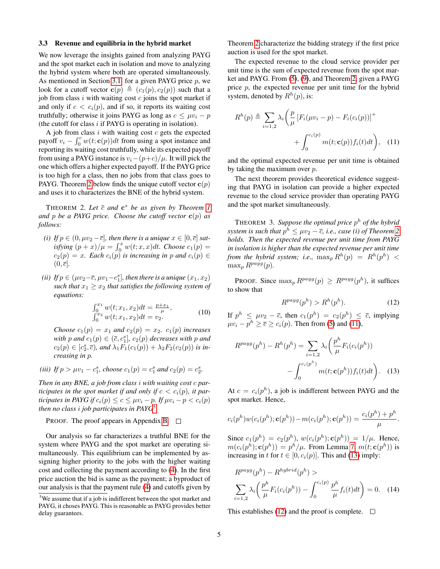#### 3.3 Revenue and equilibria in the hybrid market

We now leverage the insights gained from analyzing PAYG and the spot market each in isolation and move to analyzing the hybrid system where both are operated simultaneously. As mentioned in Section [3.1,](#page-1-1) for a given PAYG price  $p$ , we look for a cutoff vector  $\mathbf{c}(p) \triangleq (c_1(p), c_2(p))$  such that a job from class  $i$  with waiting cost  $c$  joins the spot market if and only if  $c < c_i(p)$ , and if so, it reports its waiting cost truthfully; otherwise it joins PAYG as long as  $c \leq \mu v_i - p$ (the cutoff for class  $i$  if PAYG is operating in isolation).

A job from class  $i$  with waiting cost  $c$  gets the expected payoff  $v_i - \int_0^c w(t; \mathbf{c}(p))dt$  from using a spot instance and reporting its waiting cost truthfully, while its expected payoff from using a PAYG instance is  $v_i-(p+c)/\mu$ . It will pick the one which offers a higher expected payoff. If the PAYG price is too high for a class, then no jobs from that class goes to PAYG. Theorem [2](#page-4-0) below finds the unique cutoff vector  $c(p)$ and uses it to characterizes the BNE of the hybrid system.

<span id="page-4-0"></span>THEOREM 2. Let  $\overline{c}$  and  $\mathbf{c}^s$  be as given by Theorem [1](#page-3-2) *and* p *be a PAYG price. Choose the cutoff vector*  $c(p)$  *as follows:*

- *(i) If*  $p \in (0, \mu v_2 \overline{c}]$ *, then there is a unique*  $x \in [0, \overline{c}]$  *satisfying*  $(p + x)/\mu = \int_0^x w(t; x, x) dt$ . Choose  $c_1(p) =$  $c_2(p) = x$ *. Each*  $c_i(p)$  *is increasing in* p and  $c_i(p) \in$  $(0, \overline{c}$ ].
- (*ii*) If  $p \in (\mu v_2 \overline{c}, \mu v_1 c_1^s]$ , then there is a unique  $(x_1, x_2)$ *such that*  $x_1 \geq x_2$  *that satisfies the following system of equations:*

<span id="page-4-6"></span>
$$
\begin{array}{l}\n\int_0^{x_1} w(t; x_1, x_2) dt = \frac{p+x_1}{\mu}, \\
\int_0^{x_2} w(t; x_1, x_2) dt = v_2.\n\end{array} \n\tag{10}
$$

*Choose*  $c_1(p) = x_1$  *and*  $c_2(p) = x_2$ *.*  $c_1(p)$  *increases*  $with p \text{ and } c_1(p) \in (\overline{c}, c_1^s], c_2(p) \text{ decreases with } p \text{ and } c_2(p)$  $c_2(p) \in [c_2^s, \overline{c})$ , and  $\lambda_1 F_1(c_1(p)) + \lambda_2 F_2(c_2(p))$  is in*creasing in* p*.*

(*iii*) *If*  $p > \mu v_1 - c_1^s$ , choose  $c_1(p) = c_1^s$  and  $c_2(p) = c_2^s$ .

*Then in any BNE, a job from class* i *with waiting cost* c *participates in the spot market if and only if*  $c < c_i(p)$ *, it participates in PAYG if*  $c_i(p) \leq c \leq \mu v_i - p$ . If  $\mu v_i - p < c_i(p)$ *then no class* i *job participates in PAYG*[5](#page-4-1) *.*

#### PROOF. The proof appears in Appendix [B.](#page-6-1)  $\Box$

Our analysis so far characterizes a truthful BNE for the system where PAYG and the spot market are operating simultaneously. This equilibrium can be implemented by assigning higher priority to the jobs with the higher waiting cost and collecting the payment according to [\(4\)](#page-3-1). In the first price auction the bid is same as the payment; a byproduct of our analysis is that the payment rule [\(4\)](#page-3-1) and cutoffs given by

Theorem [2](#page-4-0) characterize the bidding strategy if the first price auction is used for the spot market.

The expected revenue to the cloud service provider per unit time is the sum of expected revenue from the spot market and PAYG. From [\(5\)](#page-3-5), [\(9\)](#page-3-6), and Theorem [2,](#page-4-0) given a PAYG price  $p$ , the expected revenue per unit time for the hybrid system, denoted by  $R^h(p)$ , is:

<span id="page-4-2"></span>
$$
R^{h}(p) \triangleq \sum_{i=1,2} \lambda_i \left( \frac{p}{\mu} \left[ F_i(\mu v_i - p) - F_i(c_i(p)) \right]^+ + \int_0^{c_i(p)} m(t; \mathbf{c}(p)) f_i(t) dt \right), \quad (11)
$$

and the optimal expected revenue per unit time is obtained by taking the maximum over  $p$ .

The next theorem provides theoretical evidence suggesting that PAYG in isolation can provide a higher expected revenue to the cloud service provider than operating PAYG and the spot market simultaneously.

<span id="page-4-5"></span>THEOREM 3. *Suppose the optimal price* p <sup>h</sup> *of the hybrid* system is such that  $p^h \le \mu v_2 - \overline{c}$ , i.e., case (i) of Theorem [2](#page-4-0) *holds. Then the expected revenue per unit time from PAYG in isolation is higher than the expected revenue per unit time* from the hybrid system; i.e.,  $\max_p R^h(p) = R^h(p^h)$  <  $\max_{p} R^{payg}(p)$ .

**PROOF.** Since  $\max_p R^{payg}(p) \geq R^{payg}(p^h)$ , it suffices to show that

<span id="page-4-4"></span><span id="page-4-3"></span>
$$
R^{payg}(p^h) > R^h(p^h). \tag{12}
$$

If  $p^h \leq \mu v_2 - \overline{c}$ , then  $c_1(p^h) = c_2(p^h) \leq \overline{c}$ , implying  $\mu v_i - p^h \geq \overline{c} \geq c_i(p)$ . Then from [\(5\)](#page-3-5) and [\(11\)](#page-4-2),

$$
R^{payg}(p^h) - R^h(p^h) = \sum_{i=1,2} \lambda_i \left(\frac{p^h}{\mu} F_i(c_i(p^h))\right)
$$

$$
- \int_0^{c_i(p^h)} m(t; \mathbf{c}(p^h)) f_i(t) dt \right). \quad (13)
$$

At  $c = c_i(p^h)$ , a job is indifferent between PAYG and the spot market. Hence,

$$
c_i(p^h)w(c_i(p^h); \mathbf{c}(p^h)) - m(c_i(p^h); \mathbf{c}(p^h)) = \frac{c_i(p^h) + p^h}{\mu}.
$$

Since  $c_1(p^h) = c_2(p^h)$ ,  $w(c_i(p^h); c(p^h)) = 1/\mu$ . Hence,  $m(c_i(p^h); \mathbf{c}(p^h)) = p^h/\mu$ . From Lemma [7,](#page-3-7)  $m(t; \mathbf{c}(p^h))$  is increasing in t for  $t \in [0, c_i(p)]$ . This and [\(13\)](#page-4-3) imply:

$$
R^{payg}(p^h) - R^{hybrid}(p^h) >
$$

$$
\sum_{i=1,2} \lambda_i \left( \frac{p^h}{\mu} F_i(c_i(p^h)) - \int_0^{c_i(p)} \frac{p^h}{\mu} f_i(t) dt \right) = 0. \quad (14)
$$

This establishes [\(12\)](#page-4-4) and the proof is complete.  $\Box$ 

<span id="page-4-1"></span><sup>5</sup>We assume that if a job is indifferent between the spot market and PAYG, it choses PAYG. This is reasonable as PAYG provides better delay guarantees.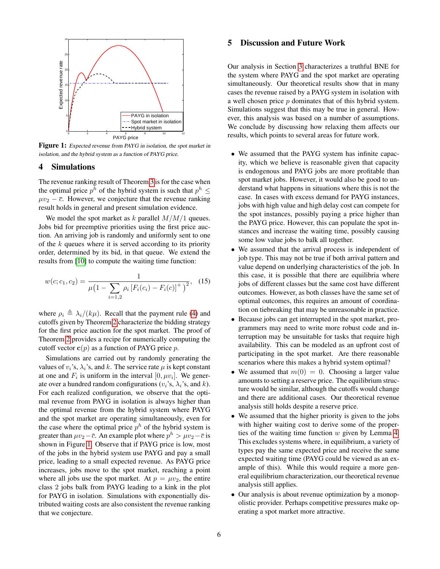

<span id="page-5-0"></span>Figure 1: Expected revenue from PAYG in isolation, the spot market in isolation, and the hybrid system as a function of PAYG price.

#### 4 Simulations

The revenue ranking result of Theorem [3](#page-4-5) is for the case when the optimal price  $p^h$  of the hybrid system is such that  $p^h \leq$  $\mu v_2 - \bar{c}$ . However, we conjecture that the revenue ranking result holds in general and present simulation evidence.

We model the spot market as k parallel  $M/M/1$  queues. Jobs bid for preemptive priorities using the first price auction. An arriving job is randomly and uniformly sent to one of the  $k$  queues where it is served according to its priority order, determined by its bid, in that queue. We extend the results from [\[10\]](#page-8-6) to compute the waiting time function:

$$
w(c; c_1, c_2) = \frac{1}{\mu \left(1 - \sum_{i=1,2} \rho_i \left[F_i(c_i) - F_i(c)\right]^+\right)^2},
$$
 (15)

where  $\rho_i \triangleq \lambda_i/(k\mu)$ . Recall that the payment rule [\(4\)](#page-3-1) and cutoffs given by Theorem [2](#page-4-0) characterize the bidding strategy for the first price auction for the spot market. The proof of Theorem [2](#page-4-0) provides a recipe for numerically computing the cutoff vector  $c(p)$  as a function of PAYG price p.

Simulations are carried out by randomly generating the values of  $v_i$ 's,  $\lambda_i$ 's, and k. The service rate  $\mu$  is kept constant at one and  $F_i$  is uniform in the interval  $[0, \mu v_i]$ . We generate over a hundred random configurations ( $v_i$ 's,  $\lambda_i$ 's, and k). For each realized configuration, we observe that the optimal revenue from PAYG in isolation is always higher than the optimal revenue from the hybrid system where PAYG and the spot market are operating simultaneously, even for the case where the optimal price  $p<sup>h</sup>$  of the hybrid system is greater than  $\mu v_2 - \overline{c}$ . An example plot where  $p^h > \mu v_2 - \overline{c}$  is shown in Figure [1.](#page-5-0) Observe that if PAYG price is low, most of the jobs in the hybrid system use PAYG and pay a small price, leading to a small expected revenue. As PAYG price increases, jobs move to the spot market, reaching a point where all jobs use the spot market. At  $p = \mu v_2$ , the entire class 2 jobs balk from PAYG leading to a kink in the plot for PAYG in isolation. Simulations with exponentially distributed waiting costs are also consistent the revenue ranking that we conjecture.

## 5 Discussion and Future Work

Our analysis in Section [3](#page-1-2) characterizes a truthful BNE for the system where PAYG and the spot market are operating simultaneously. Our theoretical results show that in many cases the revenue raised by a PAYG system in isolation with a well chosen price p dominates that of this hybrid system. Simulations suggest that this may be true in general. However, this analysis was based on a number of assumptions. We conclude by discussing how relaxing them affects our results, which points to several areas for future work.

- We assumed that the PAYG system has infinite capacity, which we believe is reasonable given that capacity is endogenous and PAYG jobs are more profitable than spot market jobs. However, it would also be good to understand what happens in situations where this is not the case. In cases with excess demand for PAYG instances, jobs with high value and high delay cost can compete for the spot instances, possibly paying a price higher than the PAYG price. However, this can populate the spot instances and increase the waiting time, possibly causing some low value jobs to balk all together.
- We assumed that the arrival process is independent of job type. This may not be true if both arrival pattern and value depend on underlying characteristics of the job. In this case, it is possible that there are equilibria where jobs of different classes but the same cost have different outcomes. However, as both classes have the same set of optimal outcomes, this requires an amount of coordination on tiebreaking that may be unreasonable in practice.
- Because jobs can get interrupted in the spot market, programmers may need to write more robust code and interruption may be unsuitable for tasks that require high availability. This can be modeled as an upfront cost of participating in the spot market. Are there reasonable scenarios where this makes a hybrid system optimal?
- We assumed that  $m(0) = 0$ . Choosing a larger value amounts to setting a reserve price. The equilibrium structure would be similar, although the cutoffs would change and there are additional cases. Our theoretical revenue analysis still holds despite a reserve price.
- We assumed that the higher priority is given to the jobs with higher waiting cost to derive some of the properties of the waiting time function  $w$  given by Lemma [4.](#page-2-3) This excludes systems where, in equilibrium, a variety of types pay the same expected price and receive the same expected waiting time (PAYG could be viewed as an example of this). While this would require a more general equilibrium characterization, our theoretical revenue analysis still applies.
- Our analysis is about revenue optimization by a monopolistic provider. Perhaps competitive pressures make operating a spot market more attractive.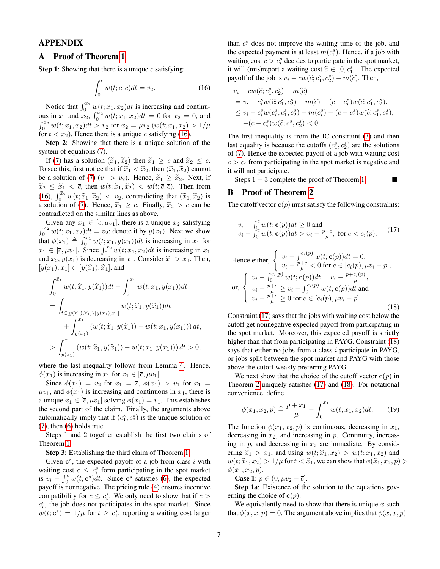## APPENDIX

#### <span id="page-6-0"></span>A Proof of Theorem [1](#page-3-2)

**Step 1:** Showing that there is a unique  $\bar{c}$  satisfying:

$$
\int_0^{\overline{c}} w(t; \overline{c}, \overline{c}) dt = v_2.
$$
 (16)

Notice that  $\int_0^{x_2} w(t; x_1, x_2) dt$  is increasing and continuous in  $x_1$  and  $x_2$ ,  $\int_0^{x_2} w(t; x_1, x_2) dt = 0$  for  $x_2 = 0$ , and  $\int_0^{x_2} w(t; x_1, x_2) dt > v_2$  for  $x_2 = \mu v_2 (w(t; x_1, x_2) > 1/\mu)$ for  $t < x_2$ ). Hence there is a unique  $\bar{c}$  satisfying [\(16\)](#page-6-2).

Step 2: Showing that there is a unique solution of the system of equations [\(7\)](#page-3-4).

If [\(7\)](#page-3-4) has a solution  $(\tilde{x}_1, \tilde{x}_2)$  then  $\tilde{x}_1 \geq \bar{c}$  and  $\tilde{x}_2 \leq \bar{c}$ . To see this, first notice that if  $\tilde{x}_1 < \tilde{x}_2$ , then  $(\tilde{x}_1, \tilde{x}_2)$  cannot be a solution of [\(7\)](#page-3-4) ( $v_1 > v_2$ ). Hence,  $\tilde{x}_1 \geq \tilde{x}_2$ . Next, if  $\tilde{x}_2 \leq \tilde{x}_1 < \bar{c}$ , then  $w(t; \tilde{x}_1, \tilde{x}_2) < w(t; \bar{c}, \bar{c})$ . Then from [\(16\)](#page-6-2),  $\int_{0}^{\tilde{x}_2} w(t; \tilde{x}_1, \tilde{x}_2) < v_2$ , contradicting that  $(\tilde{x}_1, \tilde{x}_2)$  is<br>a solution of (7). Hence  $\tilde{x}_1 > \overline{z}$ . Finally,  $\tilde{x}_2 > \overline{z}$  can be a solution of [\(7\)](#page-3-4). Hence,  $\tilde{x}_1 \geq \overline{c}$ . Finally,  $\tilde{x}_2 > \overline{c}$  can be contradicted on the similar lines as above contradicted on the similar lines as above.

Given any  $x_1 \in [\overline{c}, \mu v_1]$ , there is a unique  $x_2$  satisfying  $\int_0^{x_2} w(t; x_1, x_2) dt = v_2$ ; denote it by  $y(x_1)$ . Next we show that  $\phi(x_1) \triangleq \int_0^{x_1} w(t; x_1, y(x_1)) dt$  is increasing in  $x_1$  for  $x_1 \in [\overline{c}, \mu v_1]$ . Since  $\int_0^{x_2} w(t; x_1, x_2) dt$  is increasing in  $x_1$ and  $x_2$ ,  $y(x_1)$  is decreasing in  $x_1$ . Consider  $\hat{x}_1 > x_1$ . Then,  $[y(x_1), x_1] \subset [y(\widehat{x}_1), \widehat{x}_1]$ , and

$$
\int_0^{\hat{x}_1} w(t; \hat{x}_1, y(\hat{x}_1)) dt - \int_0^{x_1} w(t; x_1, y(x_1)) dt
$$
  
\n
$$
= \int_{t \in [y(\hat{x}_1), \hat{x}_1] \setminus [y(x_1), x_1]} w(t; \hat{x}_1, y(\hat{x}_1)) dt
$$
  
\n
$$
+ \int_{y(x_1)}^{x_1} (w(t; \hat{x}_1, y(\hat{x}_1)) - w(t; x_1, y(x_1))) dt,
$$
  
\n
$$
> \int_{y(x_1)}^{x_1} (w(t; \hat{x}_1, y(\hat{x}_1)) - w(t; x_1, y(x_1))) dt > 0,
$$

where the last inequality follows from Lemma [4.](#page-2-3) Hence,  $\phi(x_1)$  is increasing in  $x_1$  for  $x_1 \in [\overline{c}, \mu v_1]$ .

Since  $\phi(x_1) = v_2$  for  $x_1 = \overline{c}$ ,  $\phi(x_1) > v_1$  for  $x_1 =$  $\mu v_1$ , and  $\phi(x_1)$  is increasing and continuous in  $x_1$ , there is a unique  $x_1 \in [\overline{c}, \mu v_1]$  solving  $\phi(x_1) = v_1$ . This establishes the second part of the claim. Finally, the arguments above automatically imply that if  $(c_1^s, c_2^s)$  is the unique solution of [\(7\)](#page-3-4), then [\(6\)](#page-3-3) holds true.

Steps 1 and 2 together establish the first two claims of Theorem [1.](#page-3-2)

Step 3: Establishing the third claim of Theorem [1.](#page-3-2)

Given  $\mathbf{c}^s$ , the expected payoff of a job from class i with waiting cost  $c \leq c_i^s$  form participating in the spot market is  $v_i - \int_0^c w(t; \mathbf{c}^s) dt$ . Since  $\mathbf{c}^s$  satisfies [\(6\)](#page-3-3), the expected payoff is nonnegative. The pricing rule [\(4\)](#page-3-1) ensures incentive compatibility for  $c \leq c_i^s$ . We only need to show that if  $c >$  $c_i^s$ , the job does not participates in the spot market. Since  $w(t; \mathbf{c}^s) = 1/\mu$  for  $t \ge c_1^s$ , reporting a waiting cost larger

<span id="page-6-2"></span>than  $c_1^s$  does not improve the waiting time of the job, and the expected payment is at least  $m(c_1^s)$ . Hence, if a job with waiting cost  $c > c_i^s$  decides to participate in the spot market, it will (mis)report a waiting cost  $\hat{c} \in [0, c_1^s]$ . The expected<br>payoff of the job is  $v_1 = \frac{av(\hat{c}_1 \hat{c}_2 \hat{s}_1 - w(\hat{c}_1))}{\hat{c}_1 \hat{c}_2}$ . Then payoff of the job is  $v_i - cw(\hat{c}; c_1^s, c_2^s) - m(\hat{c})$ . Then,

$$
v_i - cw(\hat{c}; c_1^s, c_2^s) - m(\hat{c})
$$
  
=  $v_i - c_i^s w(\hat{c}; c_1^s, c_2^s) - m(\hat{c}) - (c - c_i^s) w(\hat{c}; c_1^s, c_2^s),$   
 $\leq v_i - c_i^s w(c_i^s; c_1^s, c_2^s) - m(c_i^s) - (c - c_i^s) w(\hat{c}; c_1^s, c_2^s),$   
=  $-(c - c_i^s) w(\hat{c}; c_1^s, c_2^s) < 0.$ 

The first inequality is from the IC constraint [\(3\)](#page-3-0) and then last equality is because the cutoffs  $(c_1^s, c_2^s)$  are the solutions of [\(7\)](#page-3-4). Hence the expected payoff of a job with waiting cost  $c > c_i$  from participating in the spot market is negative and it will not participate.

Steps  $1 - 3$  complete the proof of Theorem [1.](#page-3-2)

## <span id="page-6-1"></span>B Proof of Theorem [2](#page-4-0)

<span id="page-6-3"></span>The cutoff vector  $\mathbf{c}(p)$  must satisfy the following constraints:

$$
v_i - \int_0^c w(t; \mathbf{c}(p))dt \ge 0 \text{ and}
$$
  
\n
$$
v_i - \int_0^c w(t; \mathbf{c}(p))dt > v_i - \frac{p+c}{\mu}, \text{ for } c < c_i(p).
$$
 (17)

<span id="page-6-4"></span>Hence either, 
$$
\begin{cases} v_i - \int_0^{c_i(p)} w(t; \mathbf{c}(p)) dt = 0, \\ v_i - \frac{p+c}{\mu} < 0 \text{ for } c \in [c_i(p), \mu v_i - p], \\ v_i - \int_0^{c_i(p)} w(t; \mathbf{c}(p)) dt = v_i - \frac{p+c_i(p)}{\mu}, \\ v_i - \frac{p+c}{\mu} \ge v_i - \int_0^{c_i(p)} w(t; \mathbf{c}(p)) dt \text{ and} \\ v_i - \frac{p+c}{\mu} \ge 0 \text{ for } c \in [c_i(p), \mu v_i - p]. \end{cases}
$$
(18)

Constraint [\(17\)](#page-6-3) says that the jobs with waiting cost below the cutoff get nonnegative expected payoff from participating in the spot market. Moreover, this expected payoff is strictly higher than that from participating in PAYG. Constraint [\(18\)](#page-6-4) says that either no jobs from a class  $i$  participate in PAYG, or jobs split between the spot market and PAYG with those above the cutoff weakly preferring PAYG.

We next show that the choice of the cutoff vector  $c(p)$  in Theorem [2](#page-4-0) uniquely satisfies [\(17\)](#page-6-3) and [\(18\)](#page-6-4). For notational convenience, define

$$
\phi(x_1, x_2, p) \triangleq \frac{p + x_1}{\mu} - \int_0^{x_1} w(t; x_1, x_2) dt.
$$
 (19)

The function  $\phi(x_1, x_2, p)$  is continuous, decreasing in  $x_1$ , decreasing in  $x_2$ , and increasing in  $p$ . Continuity, increasing in  $p$ , and decreasing in  $x_2$  are immediate. By considering  $\hat{x}_1 > x_1$ , and using  $w(t; \hat{x}_1, x_2) > w(t; x_1, x_2)$  and  $w(t; \hat{x}_1, x_2) > 1/\mu$  for  $t < \hat{x}_1$ , we can show that  $\phi(\hat{x}_1, x_2, p)$  $\phi(x_1, x_2, p).$ 

**Case 1:**  $p \in (0, \mu v_2 - \overline{c}).$ 

Step 1a: Existence of the solution to the equations governing the choice of  $c(p)$ .

We equivalently need to show that there is unique  $x$  such that  $\phi(x, x, p) = 0$ . The argument above implies that  $\phi(x, x, p)$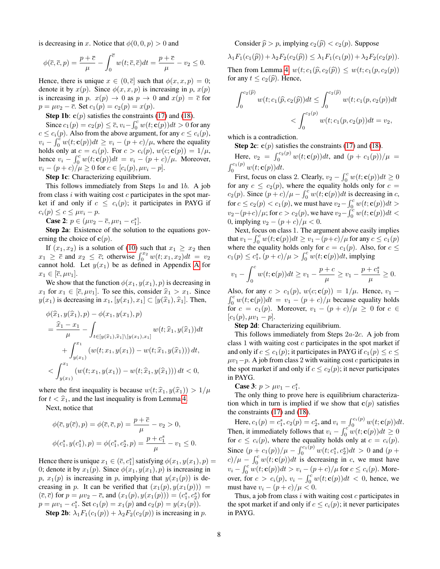is decreasing in x. Notice that  $\phi(0, 0, p) > 0$  and

$$
\phi(\overline{c}, \overline{c}, p) = \frac{p + \overline{c}}{\mu} - \int_0^{\overline{c}} w(t; \overline{c}, \overline{c}) dt = \frac{p + \overline{c}}{\mu} - \nu_2 \le 0.
$$

Hence, there is unique  $x \in (0, \bar{c}]$  such that  $\phi(x, x, p) = 0$ ; denote it by  $x(p)$ . Since  $\phi(x, x, p)$  is increasing in p,  $x(p)$ is increasing in p.  $x(p) \rightarrow 0$  as  $p \rightarrow 0$  and  $x(p) = \overline{c}$  for  $p = \mu v_2 - \overline{c}$ . Set  $c_1(p) = c_2(p) = x(p)$ .

**Step 1b**:  $\mathbf{c}(p)$  satisfies the constraints [\(17\)](#page-6-3) and [\(18\)](#page-6-4).

Since  $c_1(p) = c_2(p) \le \overline{c}$ ,  $v_i - \int_0^c w(t; \mathbf{c}(p)) dt > 0$  for any  $c \leq c_i(p)$ . Also from the above argument, for any  $c \leq c_i(p)$ ,  $v_i - \int_0^c w(t; \mathbf{c}(p)) dt \ge v_i - (p + c)/\mu$ , where the equality holds only at  $c = c_i(p)$ . For  $c > c_i(p)$ ,  $w(c; \mathbf{c}(p)) = 1/\mu$ , hence  $v_i - \int_0^c w(t; \mathbf{c}(p))dt = v_i - (p + c)/\mu$ . Moreover,  $v_i - (p + c)/\mu \ge 0$  for  $c \in [c_i(p), \mu v_i - p]$ .

Step 1c: Characterizing equilibrium.

This follows immediately from Steps  $1a$  and  $1b$ . A job from class i with waiting cost  $c$  participates in the spot market if and only if  $c \leq c_i(p)$ ; it participates in PAYG if  $c_i(p) \leq c \leq \mu v_i - p$ .

**Case 2:**  $p \in (\mu v_2 - \overline{c}, \mu v_1 - c_1^s].$ 

Step 2a: Existence of the solution to the equations governing the choice of  $c(p)$ .

If  $(x_1, x_2)$  is a solution of [\(10\)](#page-4-6) such that  $x_1 \ge x_2$  then  $x_1 \geq \overline{c}$  and  $x_2 \leq \overline{c}$ ; otherwise  $\int_0^{x_2} w(t; x_1, x_2) dt = v_2$ cannot hold. Let  $y(x_1)$  be as defined in [A](#page-6-0)ppendix A for  $x_1 \in [\overline{c}, \mu v_1].$ 

We show that the function  $\phi(x_1, y(x_1), p)$  is decreasing in  $x_1$  for  $x_1 \in [\overline{c}, \mu v_1]$ . To see this, consider  $\hat{x}_1 > x_1$ . Since  $y(x_1)$  is decreasing in  $x_1$ ,  $[y(x_1), x_1] \subset [y(\hat{x}_1), \hat{x}_1]$ . Then,

$$
\phi(\widehat{x}_1, y(\widehat{x}_1), p) - \phi(x_1, y(x_1), p)
$$
\n
$$
= \frac{\widehat{x}_1 - x_1}{\mu} - \int_{t \in [y(\widehat{x}_1), \widehat{x}_1] \setminus [y(x_1), x_1]} w(t; \widehat{x}_1, y(\widehat{x}_1)) dt
$$
\n
$$
+ \int_{y(x_1)}^{x_1} (w(t; x_1, y(x_1)) - w(t; \widehat{x}_1, y(\widehat{x}_1))) dt,
$$
\n
$$
< \int_{y(x_1)}^{x_1} (w(t; x_1, y(x_1)) - w(t; \widehat{x}_1, y(\widehat{x}_1))) dt < 0,
$$

where the first inequality is because  $w(t; \hat{x}_1, y(\hat{x}_1)) > 1/\mu$ for  $t < \hat{x}_1$ , and the last inequality is from Lemma [4.](#page-2-3)

Next, notice that

$$
\phi(\overline{c}, y(\overline{c}), p) = \phi(\overline{c}, \overline{c}, p) = \frac{p + \overline{c}}{\mu} - v_2 > 0,
$$
  

$$
\phi(c_1^s, y(c_1^s), p) = \phi(c_1^s, c_2^s, p) = \frac{p + c_1^s}{\mu} - v_1 \le 0.
$$

Hence there is unique  $x_1 \in (\overline{c}, c_1^s]$  satisfying  $\phi(x_1, y(x_1), p) =$ 0; denote it by  $x_1(p)$ . Since  $\phi(x_1, y(x_1), p)$  is increasing in p,  $x_1(p)$  is increasing in p, implying that  $y(x_1(p))$  is decreasing in p. It can be verified that  $(x_1(p), y(x_1(p))) =$  $(\bar{c}, \bar{c})$  for  $p = \mu v_2 - \bar{c}$ , and  $(x_1(p), y(x_1(p))) = (c_1^s, c_2^s)$  for  $p = \mu v_1 - c_1^s$ . Set  $c_1(p) = x_1(p)$  and  $c_2(p) = y(x_1(p))$ .

Step 2b:  $\lambda_1 F_1(c_1(p)) + \lambda_2 F_2(c_2(p))$  is increasing in p.

Consider  $\hat{p} > p$ , implying  $c_2(\hat{p}) < c_2(p)$ . Suppose

$$
\lambda_1 F_1(c_1(\hat{p})) + \lambda_2 F_2(c_2(\hat{p})) \leq \lambda_1 F_1(c_1(p)) + \lambda_2 F_2(c_2(p)).
$$

Then from Lemma [4,](#page-2-3)  $w(t; c_1(\widehat{p}, c_2(\widehat{p})) \leq w(t; c_1(p, c_2(p))$ for any  $t \leq c_2(\hat{p})$ . Hence,

$$
\int_0^{c_2(\hat{p})} w(t; c_1(\hat{p}, c_2(\hat{p})) dt \le \int_0^{c_2(\hat{p})} w(t; c_1(p, c_2(p)) dt
$$
  
< 
$$
< \int_0^{c_2(p)} w(t; c_1(p, c_2(p)) dt = v_2,
$$

which is a contradiction.

**Step 2c**:  $c(p)$  satisfies the constraints [\(17\)](#page-6-3) and [\(18\)](#page-6-4).

Here,  $v_2 = \int_0^{c_2(p)} w(t; \mathbf{c}(p)) dt$ , and  $(p + c_1(p))/\mu =$  $\int_0^{c_1(p)} w(t; \mathbf{c}(p)) dt.$ 

First, focus on class 2. Clearly,  $v_2 - \int_0^c w(t; \mathbf{c}(p)) dt \ge 0$ for any  $c \leq c_2(p)$ , where the equality holds only for  $c =$  $c_2(p)$ . Since  $\frac{p+e}{p+c}/\mu - \int_0^c w(t; \mathbf{c}(p))dt$  is decreasing in c, for  $c \le c_2(p) < c_1(p)$ , we must have  $v_2 - \int_0^c w(t; \mathbf{c}(p)) dt >$  $v_2-(p+c)/\mu$ ; for  $c > c_2(p)$ , we have  $v_2 - \int_0^c w(t; \mathbf{c}(p)) dt <$ 0, implying  $v_2 - (p + c)/\mu < 0$ .

Next, focus on class 1. The argument above easily implies that  $v_1 - \int_0^c w(t; \mathbf{c}(p)) dt \ge v_1 - (p+c)/\mu$  for any  $c \le c_1(p)$ where the equality holds only for  $c = c_1(p)$ . Also, for  $c \leq$  $c_1(p) \le c_1^s$ ,  $(p+c)/\mu > \int_0^c w(t; \mathbf{c}(p)) dt$ , implying

$$
v_1 - \int_0^c w(t; \mathbf{c}(p)) dt \ge v_1 - \frac{p+c}{\mu} \ge v_1 - \frac{p+c_1^s}{\mu} \ge 0.
$$

Also, for any  $c > c_1(p)$ ,  $w(c; c(p)) = 1/\mu$ . Hence,  $v_1$  –  $\int_0^c w(t; \mathbf{c}(p))dt = v_1 - (p+c)/\mu$  because equality holds for  $c = c_1(p)$ . Moreover,  $v_1 - (p + c)/\mu \ge 0$  for  $c \in$  $[c_1(p), \mu v_1-p].$ 

Step 2d: Characterizing equilibrium.

This follows immediately from Steps  $2a-2c$ . A job from class 1 with waiting cost  $c$  participates in the spot market if and only if  $c \leq c_1(p)$ ; it participates in PAYG if  $c_1(p) \leq c \leq$  $\mu v_1-p$ . A job from class 2 with waiting cost c participates in the spot market if and only if  $c \leq c_2(p)$ ; it never participates in PAYG.

Case 3:  $p > \mu v_1 - c_1^s$ .

The only thing to prove here is equilibrium characterization which in turn is implied if we show that  $c(p)$  satisfies the constraints [\(17\)](#page-6-3) and [\(18\)](#page-6-4).

Here,  $c_1(p) = c_1^s$ ,  $c_2(p) = c_2^s$ , and  $v_i = \int_0^{c_i(p)} w(t; \mathbf{c}(p)) dt$ . Then, it immediately follows that  $v_i - \int_0^{c} w(t; \mathbf{c}(p)) dt \ge 0$ for  $c \leq c_i(p)$ , where the equality holds only at  $c = c_i(p)$ . Since  $(p + c_1(p))/\mu - \int_0^{c_1(p)} w(t; c_1^s, c_2^s) dt > 0$  and  $(p +$  $c)/\mu - \int_0^c w(t; \mathbf{c}(p))dt$  is decreasing in c, we must have  $v_i - \int_0^c w(t; \mathbf{c}(p))dt > v_i - (p+c)/\mu$  for  $c \leq c_i(p)$ . Moreover, for  $c > c_i(p)$ ,  $v_i - \int_0^c w(t; \mathbf{c}(p)) dt < 0$ , hence, we must have  $v_i - (p + c)/\mu < 0$ .

Thus, a job from class  $i$  with waiting cost  $c$  participates in the spot market if and only if  $c \leq c_i(p)$ ; it never participates in PAYG.